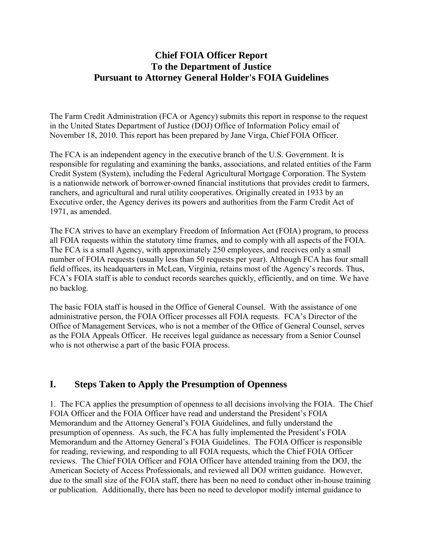### **Chief FOIA Officer Report To the Department of Justice Pursuant to Attorney General Holder's FOIA Guidelines**

The Farm Credit Administration (FCA or Agency) submits this report in response to the request in the United States Department of Justice (DOJ) Office of Information Policy email of November 18, 2010. This report has been prepared by Jane Virga, Chief FOIA Officer.

The FCA is an independent agency in the executive branch of the U.S. Government. It is responsible for regulating and examining the banks, associations, and related entities of the Farm Credit System (System), including the Federal Agricultural Mortgage Corporation. The System is a nationwide network of borrower-owned financial institutions that provides credit to farmers, ranchers, and agricultural and rural utility cooperatives. Originally created in 1933 by an Executive order, the Agency derives its powers and authorities from the Farm Credit Act of 1971, as amended.

The FCA strives to have an exemplary Freedom of Information Act (FOIA) program, to process all FOIA requests within the statutory time frames, and to comply with all aspects of the FOIA. The FCA is a small Agency, with approximately 250 employees, and receives only a small number of FOIA requests (usually less than 50 requests per year). Although FCA has four small field offices, its headquarters in McLean, Virginia, retains most of the Agency's records. Thus, FCA's FOIA staff is able to conduct records searches quickly, efficiently, and on time. We have no backlog.

The basic FOIA staff is housed in the Office of General Counsel. With the assistance of one administrative person, the FOIA Officer processes all FOIA requests. FCA's Director of the Office of Management Services, who is not a member of the Office of General Counsel, serves as the FOIA Appeals Officer. He receives legal guidance as necessary from a Senior Counsel who is not otherwise a part of the basic FOIA process.

### **I. Steps Taken to Apply the Presumption of Openness**

1. The FCA applies the presumption of openness to all decisions involving the FOIA. The Chief FOIA Officer and the FOIA Officer have read and understand the President's FOIA Memorandum and the Attorney General's FOIA Guidelines, and fully understand the presumption of openness. As such, the FCA has fully implemented the President's FOIA Memorandum and the Attorney General's FOIA Guidelines. The FOIA Officer is responsible for reading, reviewing, and responding to all FOIA requests, which the Chief FOIA Officer reviews. The Chief FOIA Officer and FOIA Officer have attended training from the DOJ, the American Society of Access Professionals, and reviewed all DOJ written guidance. However, due to the small size of the FOIA staff, there has been no need to conduct other in-house training or publication. Additionally, there has been no need to developor modify internal guidance to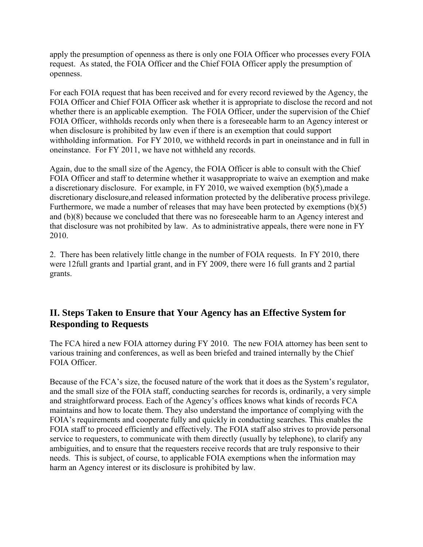apply the presumption of openness as there is only one FOIA Officer who processes every FOIA request. As stated, the FOIA Officer and the Chief FOIA Officer apply the presumption of openness.

For each FOIA request that has been received and for every record reviewed by the Agency, the FOIA Officer and Chief FOIA Officer ask whether it is appropriate to disclose the record and not whether there is an applicable exemption. The FOIA Officer, under the supervision of the Chief FOIA Officer, withholds records only when there is a foreseeable harm to an Agency interest or when disclosure is prohibited by law even if there is an exemption that could support withholding information. For FY 2010, we withheld records in part in oneinstance and in full in oneinstance. For FY 2011, we have not withheld any records.

Again, due to the small size of the Agency, the FOIA Officer is able to consult with the Chief FOIA Officer and staff to determine whether it wasappropriate to waive an exemption and make a discretionary disclosure. For example, in FY 2010, we waived exemption (b)(5),made a discretionary disclosure,and released information protected by the deliberative process privilege. Furthermore, we made a number of releases that may have been protected by exemptions (b)(5) and (b)(8) because we concluded that there was no foreseeable harm to an Agency interest and that disclosure was not prohibited by law. As to administrative appeals, there were none in FY 2010.

2. There has been relatively little change in the number of FOIA requests. In FY 2010, there were 12full grants and 1partial grant, and in FY 2009, there were 16 full grants and 2 partial grants.

## **II. Steps Taken to Ensure that Your Agency has an Effective System for Responding to Requests**

The FCA hired a new FOIA attorney during FY 2010. The new FOIA attorney has been sent to various training and conferences, as well as been briefed and trained internally by the Chief FOIA Officer.

Because of the FCA's size, the focused nature of the work that it does as the System's regulator, and the small size of the FOIA staff, conducting searches for records is, ordinarily, a very simple and straightforward process. Each of the Agency's offices knows what kinds of records FCA maintains and how to locate them. They also understand the importance of complying with the FOIA's requirements and cooperate fully and quickly in conducting searches. This enables the FOIA staff to proceed efficiently and effectively. The FOIA staff also strives to provide personal service to requesters, to communicate with them directly (usually by telephone), to clarify any ambiguities, and to ensure that the requesters receive records that are truly responsive to their needs. This is subject, of course, to applicable FOIA exemptions when the information may harm an Agency interest or its disclosure is prohibited by law.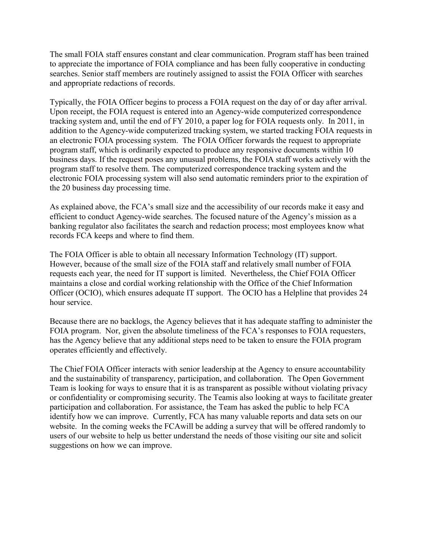The small FOIA staff ensures constant and clear communication. Program staff has been trained to appreciate the importance of FOIA compliance and has been fully cooperative in conducting searches. Senior staff members are routinely assigned to assist the FOIA Officer with searches and appropriate redactions of records.

Typically, the FOIA Officer begins to process a FOIA request on the day of or day after arrival. Upon receipt, the FOIA request is entered into an Agency-wide computerized correspondence tracking system and, until the end of FY 2010, a paper log for FOIA requests only. In 2011, in addition to the Agency-wide computerized tracking system, we started tracking FOIA requests in an electronic FOIA processing system. The FOIA Officer forwards the request to appropriate program staff, which is ordinarily expected to produce any responsive documents within 10 business days. If the request poses any unusual problems, the FOIA staff works actively with the program staff to resolve them. The computerized correspondence tracking system and the electronic FOIA processing system will also send automatic reminders prior to the expiration of the 20 business day processing time.

As explained above, the FCA's small size and the accessibility of our records make it easy and efficient to conduct Agency-wide searches. The focused nature of the Agency's mission as a banking regulator also facilitates the search and redaction process; most employees know what records FCA keeps and where to find them.

The FOIA Officer is able to obtain all necessary Information Technology (IT) support. However, because of the small size of the FOIA staff and relatively small number of FOIA requests each year, the need for IT support is limited. Nevertheless, the Chief FOIA Officer maintains a close and cordial working relationship with the Office of the Chief Information Officer (OCIO), which ensures adequate IT support. The OCIO has a Helpline that provides 24 hour service.

Because there are no backlogs, the Agency believes that it has adequate staffing to administer the FOIA program. Nor, given the absolute timeliness of the FCA's responses to FOIA requesters, has the Agency believe that any additional steps need to be taken to ensure the FOIA program operates efficiently and effectively.

The Chief FOIA Officer interacts with senior leadership at the Agency to ensure accountability and the sustainability of transparency, participation, and collaboration. The Open Government Team is looking for ways to ensure that it is as transparent as possible without violating privacy or confidentiality or compromising security. The Teamis also looking at ways to facilitate greater participation and collaboration. For assistance, the Team has asked the public to help FCA identify how we can improve. Currently, FCA has many valuable reports and data sets on our website. In the coming weeks the FCAwill be adding a survey that will be offered randomly to users of our website to help us better understand the needs of those visiting our site and solicit suggestions on how we can improve.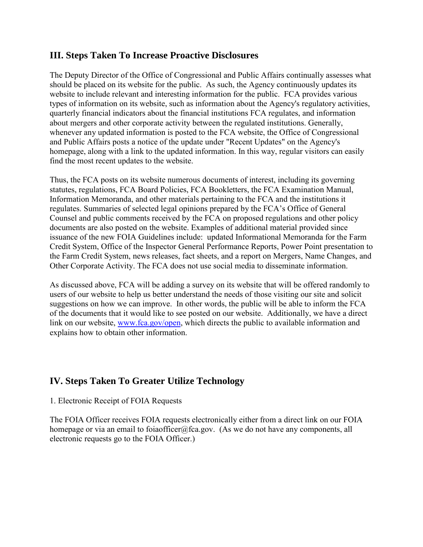#### **III. Steps Taken To Increase Proactive Disclosures**

The Deputy Director of the Office of Congressional and Public Affairs continually assesses what should be placed on its website for the public. As such, the Agency continuously updates its website to include relevant and interesting information for the public. FCA provides various types of information on its website, such as information about the Agency's regulatory activities, quarterly financial indicators about the financial institutions FCA regulates, and information about mergers and other corporate activity between the regulated institutions. Generally, whenever any updated information is posted to the FCA website, the Office of Congressional and Public Affairs posts a notice of the update under "Recent Updates" on the Agency's homepage, along with a link to the updated information. In this way, regular visitors can easily find the most recent updates to the website.

Thus, the FCA posts on its website numerous documents of interest, including its governing statutes, regulations, FCA Board Policies, FCA Bookletters, the FCA Examination Manual, Information Memoranda, and other materials pertaining to the FCA and the institutions it regulates. Summaries of selected legal opinions prepared by the FCA's Office of General Counsel and public comments received by the FCA on proposed regulations and other policy documents are also posted on the website. Examples of additional material provided since issuance of the new FOIA Guidelines include: updated Informational Memoranda for the Farm Credit System, Office of the Inspector General Performance Reports, Power Point presentation to the Farm Credit System, news releases, fact sheets, and a report on Mergers, Name Changes, and Other Corporate Activity. The FCA does not use social media to disseminate information.

As discussed above, FCA will be adding a survey on its website that will be offered randomly to users of our website to help us better understand the needs of those visiting our site and solicit suggestions on how we can improve. In other words, the public will be able to inform the FCA of the documents that it would like to see posted on our website. Additionally, we have a direct link on our website, www.[fca.gov/open,](http://www.fca.gov/open) which directs the public to available information and explains how to obtain other information.

### **IV. Steps Taken To Greater Utilize Technology**

#### 1. Electronic Receipt of FOIA Requests

The FOIA Officer receives FOIA requests electronically either from a direct link on our FOIA homepage or via an email to foiaofficer@fca.gov. (As we do not have any components, all electronic requests go to the FOIA Officer.)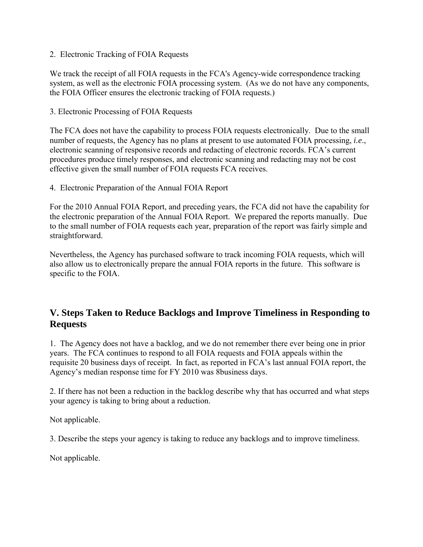2. Electronic Tracking of FOIA Requests

We track the receipt of all FOIA requests in the FCA's Agency-wide correspondence tracking system, as well as the electronic FOIA processing system. (As we do not have any components, the FOIA Officer ensures the electronic tracking of FOIA requests.)

3. Electronic Processing of FOIA Requests

The FCA does not have the capability to process FOIA requests electronically. Due to the small number of requests, the Agency has no plans at present to use automated FOIA processing, *i.e*., electronic scanning of responsive records and redacting of electronic records. FCA's current procedures produce timely responses, and electronic scanning and redacting may not be cost effective given the small number of FOIA requests FCA receives.

4. Electronic Preparation of the Annual FOIA Report

For the 2010 Annual FOIA Report, and preceding years, the FCA did not have the capability for the electronic preparation of the Annual FOIA Report. We prepared the reports manually. Due to the small number of FOIA requests each year, preparation of the report was fairly simple and straightforward.

Nevertheless, the Agency has purchased software to track incoming FOIA requests, which will also allow us to electronically prepare the annual FOIA reports in the future. This software is specific to the FOIA.

## **V. Steps Taken to Reduce Backlogs and Improve Timeliness in Responding to Requests**

1. The Agency does not have a backlog, and we do not remember there ever being one in prior years. The FCA continues to respond to all FOIA requests and FOIA appeals within the requisite 20 business days of receipt. In fact, as reported in FCA's last annual FOIA report, the Agency's median response time for FY 2010 was 8business days.

2. If there has not been a reduction in the backlog describe why that has occurred and what steps your agency is taking to bring about a reduction.

Not applicable.

3. Describe the steps your agency is taking to reduce any backlogs and to improve timeliness.

Not applicable.